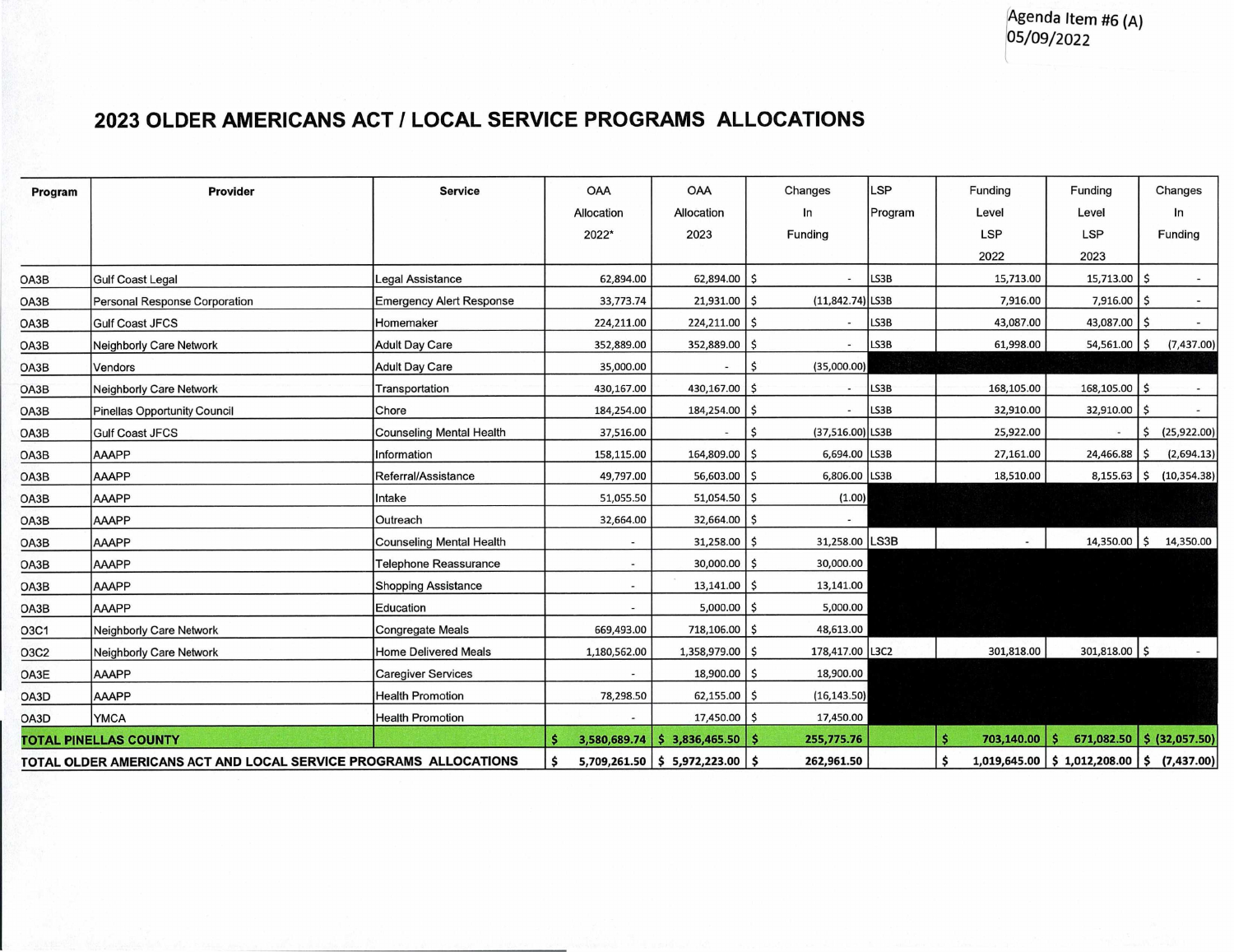## **2023 OLDER AMERICANS ACT I LOCAL SERVICE PROGRAMS ALLOCATIONS**

| Program                                                           | Provider                       | <b>Service</b>                  | <b>OAA</b>               | <b>OAA</b>                        | Changes                | LSP     | Funding         | Funding                                      | Changes                   |
|-------------------------------------------------------------------|--------------------------------|---------------------------------|--------------------------|-----------------------------------|------------------------|---------|-----------------|----------------------------------------------|---------------------------|
|                                                                   |                                |                                 | Allocation               | Allocation                        | In                     | Program | Level           | Level                                        | In                        |
|                                                                   |                                |                                 | 2022*                    | 2023                              | Funding                |         | <b>LSP</b>      | <b>LSP</b>                                   | Funding                   |
|                                                                   |                                |                                 |                          |                                   |                        |         | 2022            | 2023                                         |                           |
| OA3B                                                              | <b>Gulf Coast Legal</b>        | <b>Legal Assistance</b>         | 62,894.00                | $62,894.00$ \$                    |                        | LS3B    | 15,713.00       | $15,713.00$ \$                               |                           |
| OA3B                                                              | Personal Response Corporation  | <b>Emergency Alert Response</b> | 33,773.74                | $21,931.00$ \$                    | $(11,842.74)$ LS3B     |         | 7,916.00        | $7,916.00$ \$                                |                           |
| OA3B                                                              | <b>Gulf Coast JFCS</b>         | Homemaker                       | 224,211.00               | $224,211.00$   \$                 |                        | LS3B    | 43,087.00       | 43,087.00 \$                                 | $\blacksquare$            |
| OA3B                                                              | Neighborly Care Network        | <b>Adult Day Care</b>           | 352,889.00               | 352,889.00 \$                     |                        | LS3B    | 61,998.00       | $54,561.00$ \$                               | (7, 437.00)               |
| OA3B                                                              | Vendors                        | <b>Adult Day Care</b>           | 35,000.00                | $\sim$                            | \$<br>(35,000.00)      |         |                 |                                              |                           |
| OA3B                                                              | Neighborly Care Network        | Transportation                  | 430,167.00               | 430,167.00 \$                     |                        | LS3B    | 168,105.00      | $168, 105.00$ \$                             |                           |
| OA3B                                                              | Pinellas Opportunity Council   | Chore                           | 184,254.00               | 184,254.00 \$                     |                        | LS3B    | 32,910.00       | $32,910.00$   \$                             | $\sim$                    |
| OA3B                                                              | <b>Gulf Coast JFCS</b>         | <b>Counseling Mental Health</b> | 37,516.00                |                                   | (37,516.00) LS3B<br>\$ |         | 25,922.00       |                                              | (25,922.00)<br>Ŝ          |
| OA3B                                                              | AAAPP                          | Information                     | 158,115.00               | 164,809.00 \$                     | 6,694.00 LS3B          |         | 27,161.00       | 24,466.88                                    | (2,694.13)                |
| OA3B                                                              | AAAPP                          | Referral/Assistance             | 49,797.00                | $56,603.00$ \$                    | 6,806.00 LS3B          |         | 18,510.00       | $8,155.63$ \$                                | (10, 354.38)              |
| OA3B                                                              | AAAPP                          | Intake                          | 51,055.50                | $51,054.50$ \$                    | (1.00)                 |         |                 |                                              |                           |
| OA3B                                                              | AAAPP                          | Outreach                        | 32,664.00                | 32,664.00 \$                      |                        |         |                 |                                              |                           |
| OA3B                                                              | AAAPP                          | <b>Counseling Mental Health</b> | $\sim$                   | $31,258.00$   \$                  | 31,258.00 LS3B         |         |                 | 14,350.00 \$                                 | 14,350.00                 |
| OA3B                                                              | AAAPP                          | <b>Telephone Reassurance</b>    | $\mathcal{L}(\cdot)$     | 30,000.00 \$                      | 30,000.00              |         |                 |                                              |                           |
| OA3B                                                              | AAAPP                          | <b>Shopping Assistance</b>      | $\sim$                   | $13,141.00$ \$                    | 13,141.00              |         |                 |                                              |                           |
| OA3B                                                              | AAAPP                          | Education                       | $\sim$                   | $5,000.00$ \$                     | 5,000.00               |         |                 |                                              |                           |
| O3C1                                                              | Neighborly Care Network        | <b>Congregate Meals</b>         | 669,493.00               | 718,106.00                        | 48,613.00              |         |                 |                                              |                           |
| O3C2                                                              | <b>Neighborly Care Network</b> | <b>Home Delivered Meals</b>     | 1,180,562.00             | 1,358,979.00 \$                   | 178,417.00 L3C2        |         | 301,818.00      | 301,818.00 \$                                |                           |
| OA3E                                                              | AAAPP                          | <b>Caregiver Services</b>       |                          | 18,900.00 \$                      | 18,900.00              |         |                 |                                              |                           |
| OA3D                                                              | AAAPP                          | <b>Health Promotion</b>         | 78,298.50                | $62,155.00$ \$                    | (16, 143.50)           |         |                 |                                              |                           |
| OA3D                                                              | <b>YMCA</b>                    | <b>Health Promotion</b>         | $\overline{\phantom{a}}$ | $17,450.00$ \$                    | 17,450.00              |         |                 |                                              |                           |
| <b>TOTAL PINELLAS COUNTY</b>                                      |                                |                                 | 3,580,689.74             | $$3,836,465.50$ \ \$              | 255,775.76             |         | $703,140.00$ \$ |                                              | 671,082.50 \$ (32,057.50) |
| TOTAL OLDER AMERICANS ACT AND LOCAL SERVICE PROGRAMS  ALLOCATIONS |                                |                                 | \$                       | $5,709,261.50$ \$ 5,972,223.00 \$ | 262,961.50             |         | \$              | $1,019,645.00$ \$ 1,012,208.00 \$ (7,437.00) |                           |